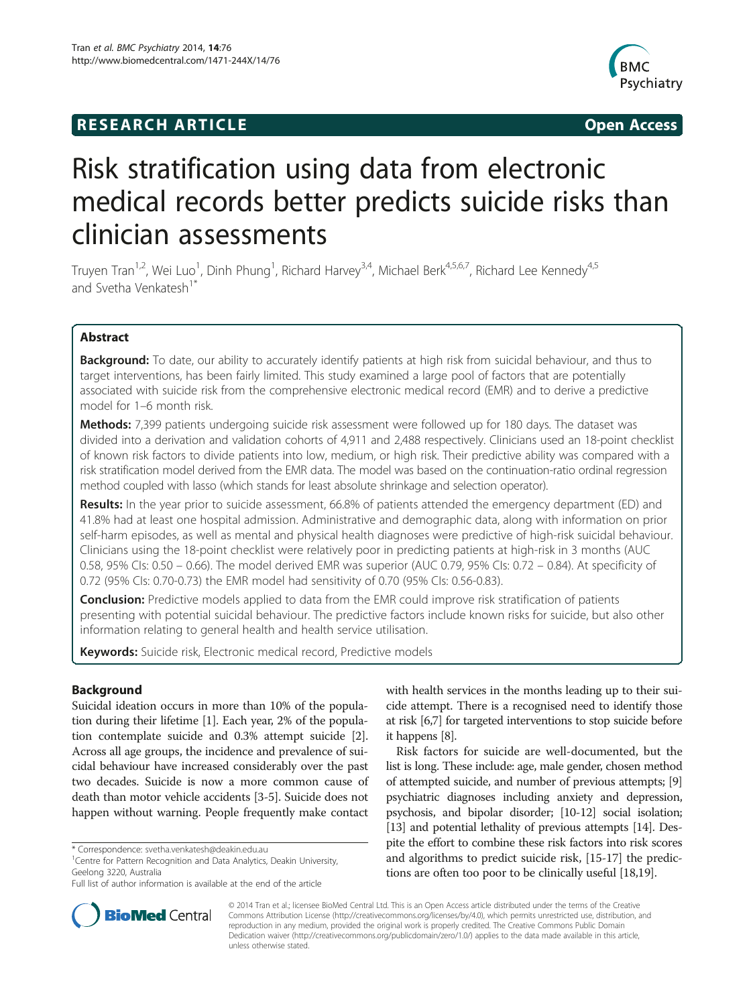# **RESEARCH ARTICLE Example 2014 The SEAR CH ACCESS**



# Risk stratification using data from electronic medical records better predicts suicide risks than clinician assessments

Truyen Tran<sup>1,2</sup>, Wei Luo<sup>1</sup>, Dinh Phung<sup>1</sup>, Richard Harvey<sup>3,4</sup>, Michael Berk<sup>4,5,6,7</sup>, Richard Lee Kennedy<sup>4,5</sup> and Svetha Venkatesh<sup>1\*</sup>

# Abstract

Background: To date, our ability to accurately identify patients at high risk from suicidal behaviour, and thus to target interventions, has been fairly limited. This study examined a large pool of factors that are potentially associated with suicide risk from the comprehensive electronic medical record (EMR) and to derive a predictive model for 1–6 month risk.

**Methods:** 7,399 patients undergoing suicide risk assessment were followed up for 180 days. The dataset was divided into a derivation and validation cohorts of 4,911 and 2,488 respectively. Clinicians used an 18-point checklist of known risk factors to divide patients into low, medium, or high risk. Their predictive ability was compared with a risk stratification model derived from the EMR data. The model was based on the continuation-ratio ordinal regression method coupled with lasso (which stands for least absolute shrinkage and selection operator).

Results: In the year prior to suicide assessment, 66.8% of patients attended the emergency department (ED) and 41.8% had at least one hospital admission. Administrative and demographic data, along with information on prior self-harm episodes, as well as mental and physical health diagnoses were predictive of high-risk suicidal behaviour. Clinicians using the 18-point checklist were relatively poor in predicting patients at high-risk in 3 months (AUC 0.58, 95% CIs: 0.50 – 0.66). The model derived EMR was superior (AUC 0.79, 95% CIs: 0.72 – 0.84). At specificity of 0.72 (95% CIs: 0.70-0.73) the EMR model had sensitivity of 0.70 (95% CIs: 0.56-0.83).

**Conclusion:** Predictive models applied to data from the EMR could improve risk stratification of patients presenting with potential suicidal behaviour. The predictive factors include known risks for suicide, but also other information relating to general health and health service utilisation.

Keywords: Suicide risk, Electronic medical record, Predictive models

# Background

Suicidal ideation occurs in more than 10% of the population during their lifetime [[1](#page-7-0)]. Each year, 2% of the population contemplate suicide and 0.3% attempt suicide [[2](#page-7-0)]. Across all age groups, the incidence and prevalence of suicidal behaviour have increased considerably over the past two decades. Suicide is now a more common cause of death than motor vehicle accidents [\[3](#page-7-0)-[5\]](#page-7-0). Suicide does not happen without warning. People frequently make contact

with health services in the months leading up to their suicide attempt. There is a recognised need to identify those at risk [[6,7\]](#page-7-0) for targeted interventions to stop suicide before it happens [[8](#page-7-0)].

Risk factors for suicide are well-documented, but the list is long. These include: age, male gender, chosen method of attempted suicide, and number of previous attempts; [[9](#page-7-0)] psychiatric diagnoses including anxiety and depression, psychosis, and bipolar disorder; [\[10-12](#page-7-0)] social isolation; [[13](#page-7-0)] and potential lethality of previous attempts [\[14\]](#page-7-0). Despite the effort to combine these risk factors into risk scores and algorithms to predict suicide risk, [\[15-17](#page-7-0)] the predictions are often too poor to be clinically useful [\[18,19](#page-7-0)].



© 2014 Tran et al.; licensee BioMed Central Ltd. This is an Open Access article distributed under the terms of the Creative Commons Attribution License [\(http://creativecommons.org/licenses/by/4.0\)](http://creativecommons.org/licenses/by/4.0), which permits unrestricted use, distribution, and reproduction in any medium, provided the original work is properly credited. The Creative Commons Public Domain Dedication waiver [\(http://creativecommons.org/publicdomain/zero/1.0/](http://creativecommons.org/publicdomain/zero/1.0/)) applies to the data made available in this article, unless otherwise stated.

<sup>\*</sup> Correspondence: [svetha.venkatesh@deakin.edu.au](mailto:svetha.venkatesh@deakin.edu.au) <sup>1</sup>

<sup>&</sup>lt;sup>1</sup> Centre for Pattern Recognition and Data Analytics, Deakin University, Geelong 3220, Australia

Full list of author information is available at the end of the article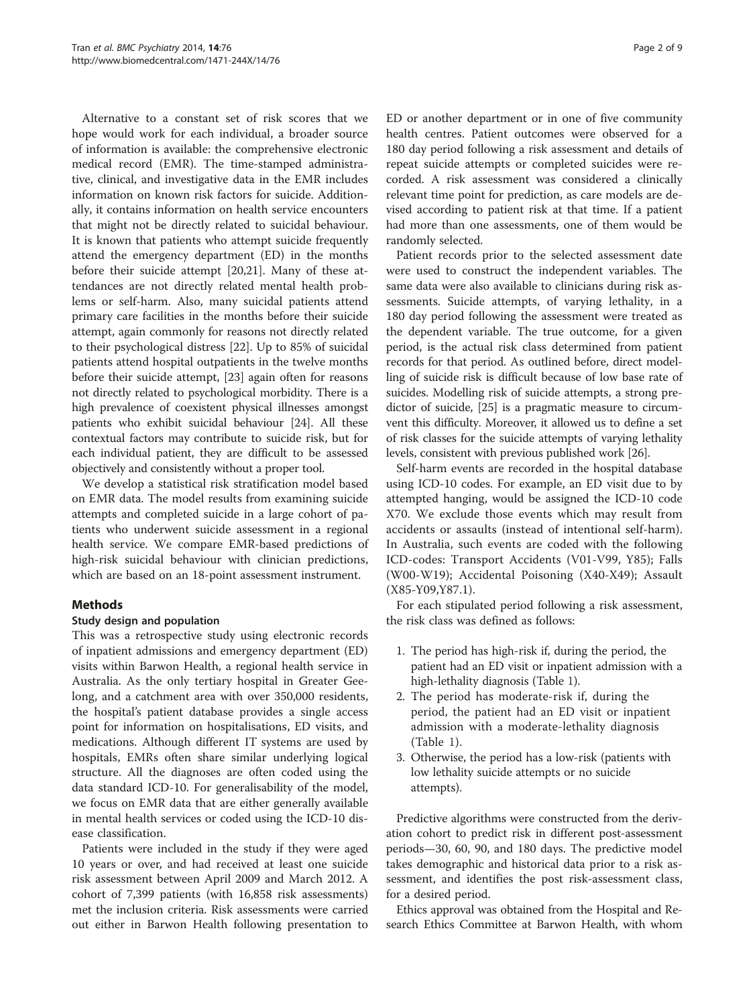Alternative to a constant set of risk scores that we hope would work for each individual, a broader source of information is available: the comprehensive electronic medical record (EMR). The time-stamped administrative, clinical, and investigative data in the EMR includes information on known risk factors for suicide. Additionally, it contains information on health service encounters that might not be directly related to suicidal behaviour. It is known that patients who attempt suicide frequently attend the emergency department (ED) in the months before their suicide attempt [\[20,21](#page-7-0)]. Many of these attendances are not directly related mental health problems or self-harm. Also, many suicidal patients attend primary care facilities in the months before their suicide attempt, again commonly for reasons not directly related to their psychological distress [\[22](#page-7-0)]. Up to 85% of suicidal patients attend hospital outpatients in the twelve months before their suicide attempt, [[23\]](#page-7-0) again often for reasons not directly related to psychological morbidity. There is a high prevalence of coexistent physical illnesses amongst patients who exhibit suicidal behaviour [\[24](#page-7-0)]. All these contextual factors may contribute to suicide risk, but for each individual patient, they are difficult to be assessed objectively and consistently without a proper tool.

We develop a statistical risk stratification model based on EMR data. The model results from examining suicide attempts and completed suicide in a large cohort of patients who underwent suicide assessment in a regional health service. We compare EMR-based predictions of high-risk suicidal behaviour with clinician predictions, which are based on an 18-point assessment instrument.

# **Methods**

## Study design and population

This was a retrospective study using electronic records of inpatient admissions and emergency department (ED) visits within Barwon Health, a regional health service in Australia. As the only tertiary hospital in Greater Geelong, and a catchment area with over 350,000 residents, the hospital's patient database provides a single access point for information on hospitalisations, ED visits, and medications. Although different IT systems are used by hospitals, EMRs often share similar underlying logical structure. All the diagnoses are often coded using the data standard ICD-10. For generalisability of the model, we focus on EMR data that are either generally available in mental health services or coded using the ICD-10 disease classification.

Patients were included in the study if they were aged 10 years or over, and had received at least one suicide risk assessment between April 2009 and March 2012. A cohort of 7,399 patients (with 16,858 risk assessments) met the inclusion criteria. Risk assessments were carried out either in Barwon Health following presentation to ED or another department or in one of five community health centres. Patient outcomes were observed for a 180 day period following a risk assessment and details of repeat suicide attempts or completed suicides were recorded. A risk assessment was considered a clinically relevant time point for prediction, as care models are devised according to patient risk at that time. If a patient had more than one assessments, one of them would be randomly selected.

Patient records prior to the selected assessment date were used to construct the independent variables. The same data were also available to clinicians during risk assessments. Suicide attempts, of varying lethality, in a 180 day period following the assessment were treated as the dependent variable. The true outcome, for a given period, is the actual risk class determined from patient records for that period. As outlined before, direct modelling of suicide risk is difficult because of low base rate of suicides. Modelling risk of suicide attempts, a strong predictor of suicide, [\[25\]](#page-7-0) is a pragmatic measure to circumvent this difficulty. Moreover, it allowed us to define a set of risk classes for the suicide attempts of varying lethality levels, consistent with previous published work [\[26\]](#page-8-0).

Self-harm events are recorded in the hospital database using ICD-10 codes. For example, an ED visit due to by attempted hanging, would be assigned the ICD-10 code X70. We exclude those events which may result from accidents or assaults (instead of intentional self-harm). In Australia, such events are coded with the following ICD-codes: Transport Accidents (V01-V99, Y85); Falls (W00-W19); Accidental Poisoning (X40-X49); Assault (X85-Y09,Y87.1).

For each stipulated period following a risk assessment, the risk class was defined as follows:

- 1. The period has high-risk if, during the period, the patient had an ED visit or inpatient admission with a high-lethality diagnosis (Table [1\)](#page-2-0).
- 2. The period has moderate-risk if, during the period, the patient had an ED visit or inpatient admission with a moderate-lethality diagnosis (Table [1](#page-2-0)).
- 3. Otherwise, the period has a low-risk (patients with low lethality suicide attempts or no suicide attempts).

Predictive algorithms were constructed from the derivation cohort to predict risk in different post-assessment periods—30, 60, 90, and 180 days. The predictive model takes demographic and historical data prior to a risk assessment, and identifies the post risk-assessment class, for a desired period.

Ethics approval was obtained from the Hospital and Research Ethics Committee at Barwon Health, with whom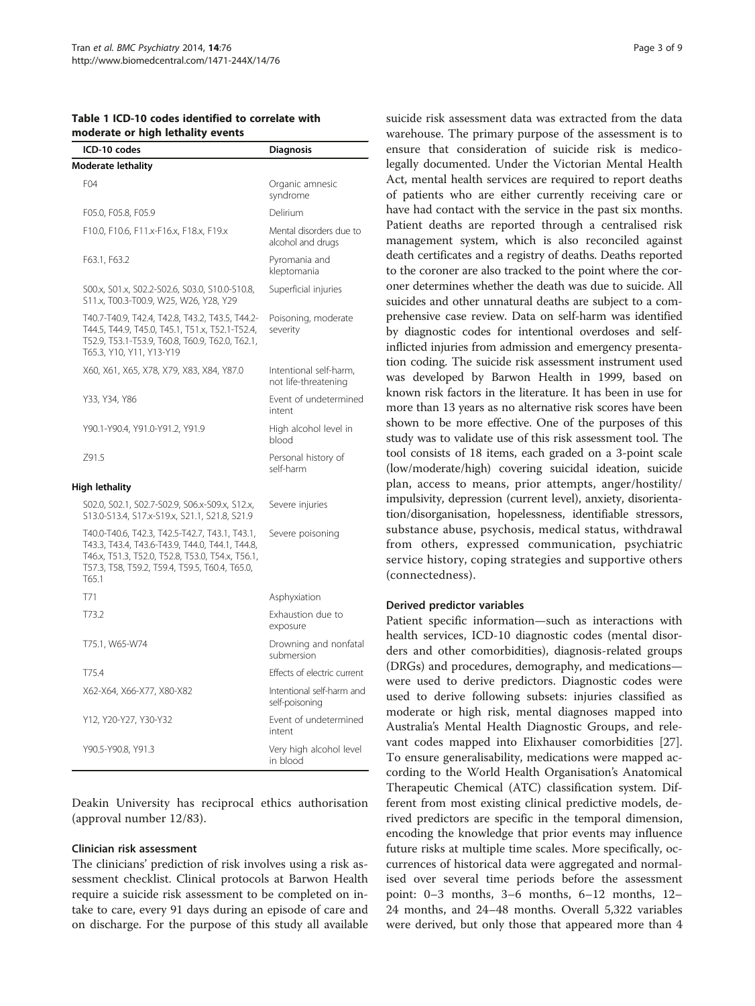| וווטעכומנכ טו ווועוו וכנוומוונץ                                                                                                                                                                                  |                                                |
|------------------------------------------------------------------------------------------------------------------------------------------------------------------------------------------------------------------|------------------------------------------------|
| ICD-10 codes                                                                                                                                                                                                     | <b>Diagnosis</b>                               |
| Moderate lethality                                                                                                                                                                                               |                                                |
| F <sub>04</sub>                                                                                                                                                                                                  | Organic amnesic<br>syndrome                    |
| F05.0, F05.8, F05.9                                                                                                                                                                                              | Delirium                                       |
| F10.0, F10.6, F11.x-F16.x, F18.x, F19.x                                                                                                                                                                          | Mental disorders due to<br>alcohol and drugs   |
| F63.1, F63.2                                                                                                                                                                                                     | Pyromania and<br>kleptomania                   |
| S00.x, S01.x, S02.2-S02.6, S03.0, S10.0-S10.8,<br>S11.x, T00.3-T00.9, W25, W26, Y28, Y29                                                                                                                         | Superficial injuries                           |
| T40.7-T40.9, T42.4, T42.8, T43.2, T43.5, T44.2-<br>T44.5, T44.9, T45.0, T45.1, T51.x, T52.1-T52.4,<br>T52.9, T53.1-T53.9, T60.8, T60.9, T62.0, T62.1,<br>T65.3, Y10, Y11, Y13-Y19                                | Poisoning, moderate<br>severity                |
| X60, X61, X65, X78, X79, X83, X84, Y87.0                                                                                                                                                                         | Intentional self-harm,<br>not life-threatening |
| Y33, Y34, Y86                                                                                                                                                                                                    | Event of undetermined<br>intent                |
| Y90.1-Y90.4, Y91.0-Y91.2, Y91.9                                                                                                                                                                                  | High alcohol level in<br>blood                 |
| Z91.5                                                                                                                                                                                                            | Personal history of<br>self-harm               |
| High lethality                                                                                                                                                                                                   |                                                |
| S02.0, S02.1, S02.7-S02.9, S06.x-S09.x, S12.x,<br>S13.0-S13.4, S17.x-S19.x, S21.1, S21.8, S21.9                                                                                                                  | Severe injuries                                |
| T40.0-T40.6, T42.3, T42.5-T42.7, T43.1, T43.1,<br>T43.3, T43.4, T43.6-T43.9, T44.0, T44.1, T44.8,<br>T46.x, T51.3, T52.0, T52.8, T53.0, T54.x, T56.1,<br>T57.3, T58, T59.2, T59.4, T59.5, T60.4, T65.0,<br>T65.1 | Severe poisoning                               |
| T71                                                                                                                                                                                                              | Asphyxiation                                   |
| T73.2                                                                                                                                                                                                            | Exhaustion due to<br>exposure                  |
| T75.1, W65-W74                                                                                                                                                                                                   | Drowning and nonfatal<br>submersion            |
| T75.4                                                                                                                                                                                                            | Effects of electric current                    |
| X62-X64, X66-X77, X80-X82                                                                                                                                                                                        | Intentional self-harm and<br>self-poisoning    |
| Y12, Y20-Y27, Y30-Y32                                                                                                                                                                                            | Event of undetermined<br>intent                |
| Y90.5-Y90.8, Y91.3                                                                                                                                                                                               | Very high alcohol level<br>in blood            |

<span id="page-2-0"></span>Table 1 ICD-10 codes identified to correlate with moderate or high lethality events

Deakin University has reciprocal ethics authorisation (approval number 12/83).

#### Clinician risk assessment

The clinicians' prediction of risk involves using a risk assessment checklist. Clinical protocols at Barwon Health require a suicide risk assessment to be completed on intake to care, every 91 days during an episode of care and on discharge. For the purpose of this study all available suicide risk assessment data was extracted from the data warehouse. The primary purpose of the assessment is to ensure that consideration of suicide risk is medicolegally documented. Under the Victorian Mental Health Act, mental health services are required to report deaths of patients who are either currently receiving care or have had contact with the service in the past six months. Patient deaths are reported through a centralised risk management system, which is also reconciled against death certificates and a registry of deaths. Deaths reported to the coroner are also tracked to the point where the coroner determines whether the death was due to suicide. All suicides and other unnatural deaths are subject to a comprehensive case review. Data on self-harm was identified by diagnostic codes for intentional overdoses and selfinflicted injuries from admission and emergency presentation coding. The suicide risk assessment instrument used was developed by Barwon Health in 1999, based on known risk factors in the literature. It has been in use for more than 13 years as no alternative risk scores have been shown to be more effective. One of the purposes of this study was to validate use of this risk assessment tool. The tool consists of 18 items, each graded on a 3-point scale (low/moderate/high) covering suicidal ideation, suicide plan, access to means, prior attempts, anger/hostility/ impulsivity, depression (current level), anxiety, disorientation/disorganisation, hopelessness, identifiable stressors, substance abuse, psychosis, medical status, withdrawal from others, expressed communication, psychiatric service history, coping strategies and supportive others (connectedness).

#### Derived predictor variables

Patient specific information—such as interactions with health services, ICD-10 diagnostic codes (mental disorders and other comorbidities), diagnosis-related groups (DRGs) and procedures, demography, and medications were used to derive predictors. Diagnostic codes were used to derive following subsets: injuries classified as moderate or high risk, mental diagnoses mapped into Australia's Mental Health Diagnostic Groups, and relevant codes mapped into Elixhauser comorbidities [\[27](#page-8-0)]. To ensure generalisability, medications were mapped according to the World Health Organisation's Anatomical Therapeutic Chemical (ATC) classification system. Different from most existing clinical predictive models, derived predictors are specific in the temporal dimension, encoding the knowledge that prior events may influence future risks at multiple time scales. More specifically, occurrences of historical data were aggregated and normalised over several time periods before the assessment point: 0–3 months, 3–6 months, 6–12 months, 12– 24 months, and 24–48 months. Overall 5,322 variables were derived, but only those that appeared more than 4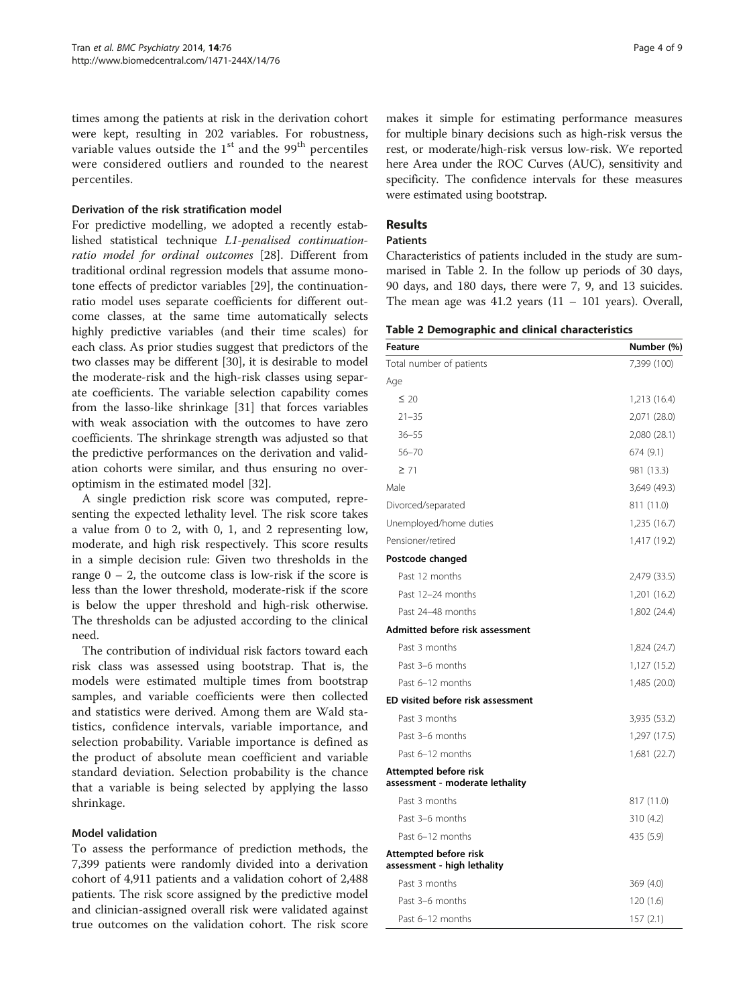times among the patients at risk in the derivation cohort were kept, resulting in 202 variables. For robustness, variable values outside the  $1<sup>st</sup>$  and the 99<sup>th</sup> percentiles were considered outliers and rounded to the nearest percentiles.

#### Derivation of the risk stratification model

For predictive modelling, we adopted a recently established statistical technique L1-penalised continuationratio model for ordinal outcomes [\[28](#page-8-0)]. Different from traditional ordinal regression models that assume monotone effects of predictor variables [[29](#page-8-0)], the continuationratio model uses separate coefficients for different outcome classes, at the same time automatically selects highly predictive variables (and their time scales) for each class. As prior studies suggest that predictors of the two classes may be different [\[30](#page-8-0)], it is desirable to model the moderate-risk and the high-risk classes using separate coefficients. The variable selection capability comes from the lasso-like shrinkage [[31\]](#page-8-0) that forces variables with weak association with the outcomes to have zero coefficients. The shrinkage strength was adjusted so that the predictive performances on the derivation and validation cohorts were similar, and thus ensuring no overoptimism in the estimated model [[32\]](#page-8-0).

A single prediction risk score was computed, representing the expected lethality level. The risk score takes a value from 0 to 2, with 0, 1, and 2 representing low, moderate, and high risk respectively. This score results in a simple decision rule: Given two thresholds in the range  $0 - 2$ , the outcome class is low-risk if the score is less than the lower threshold, moderate-risk if the score is below the upper threshold and high-risk otherwise. The thresholds can be adjusted according to the clinical need.

The contribution of individual risk factors toward each risk class was assessed using bootstrap. That is, the models were estimated multiple times from bootstrap samples, and variable coefficients were then collected and statistics were derived. Among them are Wald statistics, confidence intervals, variable importance, and selection probability. Variable importance is defined as the product of absolute mean coefficient and variable standard deviation. Selection probability is the chance that a variable is being selected by applying the lasso shrinkage.

#### Model validation

To assess the performance of prediction methods, the 7,399 patients were randomly divided into a derivation cohort of 4,911 patients and a validation cohort of 2,488 patients. The risk score assigned by the predictive model and clinician-assigned overall risk were validated against true outcomes on the validation cohort. The risk score makes it simple for estimating performance measures for multiple binary decisions such as high-risk versus the rest, or moderate/high-risk versus low-risk. We reported here Area under the ROC Curves (AUC), sensitivity and specificity. The confidence intervals for these measures were estimated using bootstrap.

#### Results

# Patients

Characteristics of patients included in the study are summarised in Table 2. In the follow up periods of 30 days, 90 days, and 180 days, there were 7, 9, and 13 suicides. The mean age was  $41.2$  years  $(11 - 101$  years). Overall,

|  |  |  |  |  | Table 2 Demographic and clinical characteristics |
|--|--|--|--|--|--------------------------------------------------|
|--|--|--|--|--|--------------------------------------------------|

| <b>Feature</b>                                           | Number (%)   |
|----------------------------------------------------------|--------------|
| Total number of patients                                 | 7,399 (100)  |
| Age                                                      |              |
| $\leq 20$                                                | 1,213 (16.4) |
| $21 - 35$                                                | 2,071 (28.0) |
| $36 - 55$                                                | 2,080 (28.1) |
| $56 - 70$                                                | 674 (9.1)    |
| $\geq 71$                                                | 981 (13.3)   |
| Male                                                     | 3,649 (49.3) |
| Divorced/separated                                       | 811 (11.0)   |
| Unemployed/home duties                                   | 1,235 (16.7) |
| Pensioner/retired                                        | 1,417 (19.2) |
| Postcode changed                                         |              |
| Past 12 months                                           | 2,479 (33.5) |
| Past 12-24 months                                        | 1,201 (16.2) |
| Past 24-48 months                                        | 1,802 (24.4) |
| Admitted before risk assessment                          |              |
| Past 3 months                                            | 1,824 (24.7) |
| Past 3-6 months                                          | 1,127 (15.2) |
| Past 6-12 months                                         | 1,485 (20.0) |
| ED visited before risk assessment                        |              |
| Past 3 months                                            | 3,935 (53.2) |
| Past 3-6 months                                          | 1,297 (17.5) |
| Past 6-12 months                                         | 1,681 (22.7) |
| Attempted before risk<br>assessment - moderate lethality |              |
| Past 3 months                                            | 817 (11.0)   |
| Past 3-6 months                                          | 310 (4.2)    |
| Past 6-12 months                                         | 435 (5.9)    |
| Attempted before risk<br>assessment - high lethality     |              |
| Past 3 months                                            | 369 (4.0)    |
| Past 3-6 months                                          | 120(1.6)     |
| Past 6-12 months                                         | 157 (2.1)    |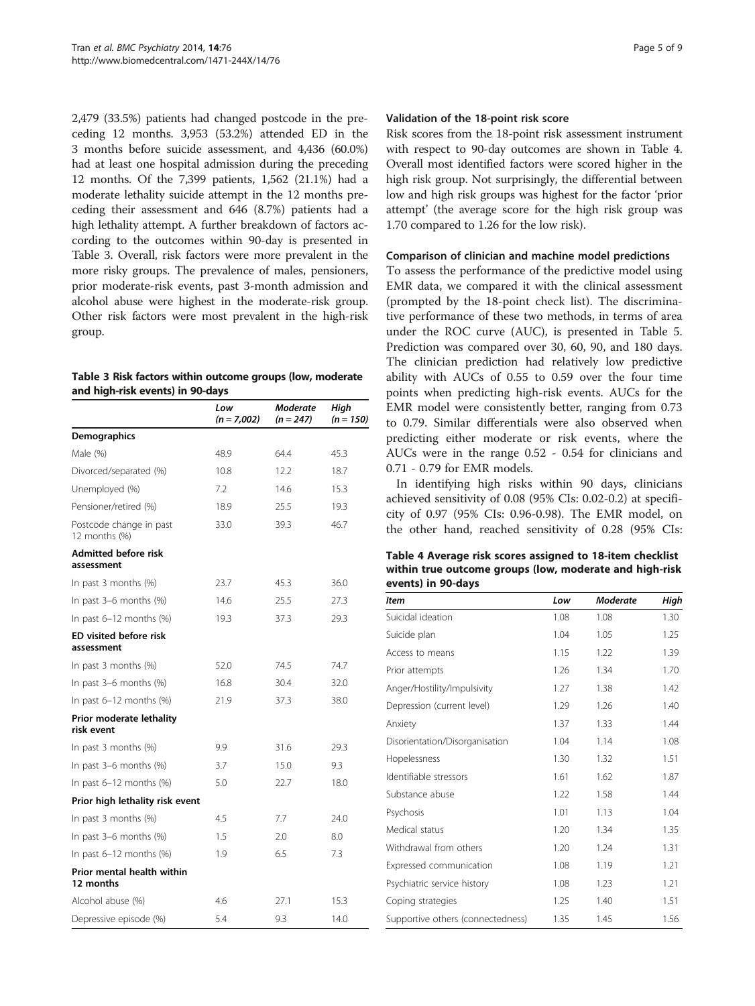2,479 (33.5%) patients had changed postcode in the preceding 12 months. 3,953 (53.2%) attended ED in the 3 months before suicide assessment, and 4,436 (60.0%) had at least one hospital admission during the preceding 12 months. Of the 7,399 patients, 1,562 (21.1%) had a moderate lethality suicide attempt in the 12 months preceding their assessment and 646 (8.7%) patients had a high lethality attempt. A further breakdown of factors according to the outcomes within 90-day is presented in Table 3. Overall, risk factors were more prevalent in the more risky groups. The prevalence of males, pensioners, prior moderate-risk events, past 3-month admission and alcohol abuse were highest in the moderate-risk group. Other risk factors were most prevalent in the high-risk group.

#### Table 3 Risk factors within outcome groups (low, moderate and high-risk events) in 90-days

|                                             | Low<br>$(n = 7,002)$ | Moderate<br>$(n = 247)$ | High<br>$(n = 150)$ |
|---------------------------------------------|----------------------|-------------------------|---------------------|
| Demographics                                |                      |                         |                     |
| Male (%)                                    | 48.9                 | 64.4                    | 45.3                |
| Divorced/separated (%)                      | 10.8                 | 12.2                    | 18.7                |
| Unemployed (%)                              | 7.2                  | 14.6                    | 15.3                |
| Pensioner/retired (%)                       | 18.9                 | 25.5                    | 19.3                |
| Postcode change in past<br>12 months (%)    | 33.0                 | 39.3                    | 46.7                |
| <b>Admitted before risk</b><br>assessment   |                      |                         |                     |
| In past 3 months $(\%)$                     | 23.7                 | 45.3                    | 36.0                |
| In past 3-6 months (%)                      | 14.6                 | 25.5                    | 27.3                |
| In past 6-12 months (%)                     | 19.3                 | 37.3                    | 29.3                |
| <b>ED visited before risk</b><br>assessment |                      |                         |                     |
| In past $3$ months $(\%)$                   | 52.0                 | 74.5                    | 74.7                |
| In past 3–6 months (%)                      | 16.8                 | 30.4                    | 32.0                |
| In past $6-12$ months $%$                   | 21.9                 | 37.3                    | 38.0                |
| Prior moderate lethality<br>risk event      |                      |                         |                     |
| In past 3 months $(\%)$                     | 9.9                  | 31.6                    | 29.3                |
| In past 3-6 months (%)                      | 3.7                  | 15.0                    | 9.3                 |
| In past $6-12$ months $(%)$                 | 5.0                  | 22.7                    | 18.0                |
| Prior high lethality risk event             |                      |                         |                     |
| In past 3 months (%)                        | 4.5                  | 7.7                     | 24.0                |
| In past $3-6$ months $%$                    | 1.5                  | 2.0                     | 8.0                 |
| In past $6-12$ months $(%)$                 | 1.9                  | 6.5                     | 7.3                 |
| Prior mental health within<br>12 months     |                      |                         |                     |
| Alcohol abuse (%)                           | 4.6                  | 27.1                    | 15.3                |
| Depressive episode (%)                      | 5.4                  | 9.3                     | 14.0                |

#### Validation of the 18-point risk score

Risk scores from the 18-point risk assessment instrument with respect to 90-day outcomes are shown in Table 4. Overall most identified factors were scored higher in the high risk group. Not surprisingly, the differential between low and high risk groups was highest for the factor 'prior attempt' (the average score for the high risk group was 1.70 compared to 1.26 for the low risk).

## Comparison of clinician and machine model predictions

To assess the performance of the predictive model using EMR data, we compared it with the clinical assessment (prompted by the 18-point check list). The discriminative performance of these two methods, in terms of area under the ROC curve (AUC), is presented in Table [5](#page-5-0). Prediction was compared over 30, 60, 90, and 180 days. The clinician prediction had relatively low predictive ability with AUCs of 0.55 to 0.59 over the four time points when predicting high-risk events. AUCs for the EMR model were consistently better, ranging from 0.73 to 0.79. Similar differentials were also observed when predicting either moderate or risk events, where the AUCs were in the range 0.52 - 0.54 for clinicians and 0.71 - 0.79 for EMR models.

In identifying high risks within 90 days, clinicians achieved sensitivity of 0.08 (95% CIs: 0.02-0.2) at specificity of 0.97 (95% CIs: 0.96-0.98). The EMR model, on the other hand, reached sensitivity of 0.28 (95% CIs:

Table 4 Average risk scores assigned to 18-item checklist within true outcome groups (low, moderate and high-risk events) in 90-days

| <b>Item</b>                       | Low  | <b>Moderate</b> | High |
|-----------------------------------|------|-----------------|------|
| Suicidal ideation                 | 1.08 | 1.08            | 1.30 |
| Suicide plan                      | 1.04 | 1.05            | 1.25 |
| Access to means                   | 1.15 | 1.22            | 1.39 |
| Prior attempts                    | 1.26 | 1.34            | 1.70 |
| Anger/Hostility/Impulsivity       | 1.27 | 1.38            | 1.42 |
| Depression (current level)        | 1.29 | 1.26            | 1.40 |
| Anxiety                           | 1.37 | 1.33            | 1.44 |
| Disorientation/Disorganisation    | 1.04 | 1.14            | 1.08 |
| Hopelessness                      | 1.30 | 1.32            | 1.51 |
| Identifiable stressors            | 1.61 | 1.62            | 1.87 |
| Substance abuse                   | 1.22 | 1.58            | 1.44 |
| Psychosis                         | 1.01 | 1.13            | 1.04 |
| Medical status                    | 1.20 | 1.34            | 1.35 |
| Withdrawal from others            | 1.20 | 1.24            | 1.31 |
| Expressed communication           | 1.08 | 1.19            | 1.21 |
| Psychiatric service history       | 1.08 | 1.23            | 1.21 |
| Coping strategies                 | 1.25 | 1.40            | 1.51 |
| Supportive others (connectedness) | 1.35 | 1.45            | 1.56 |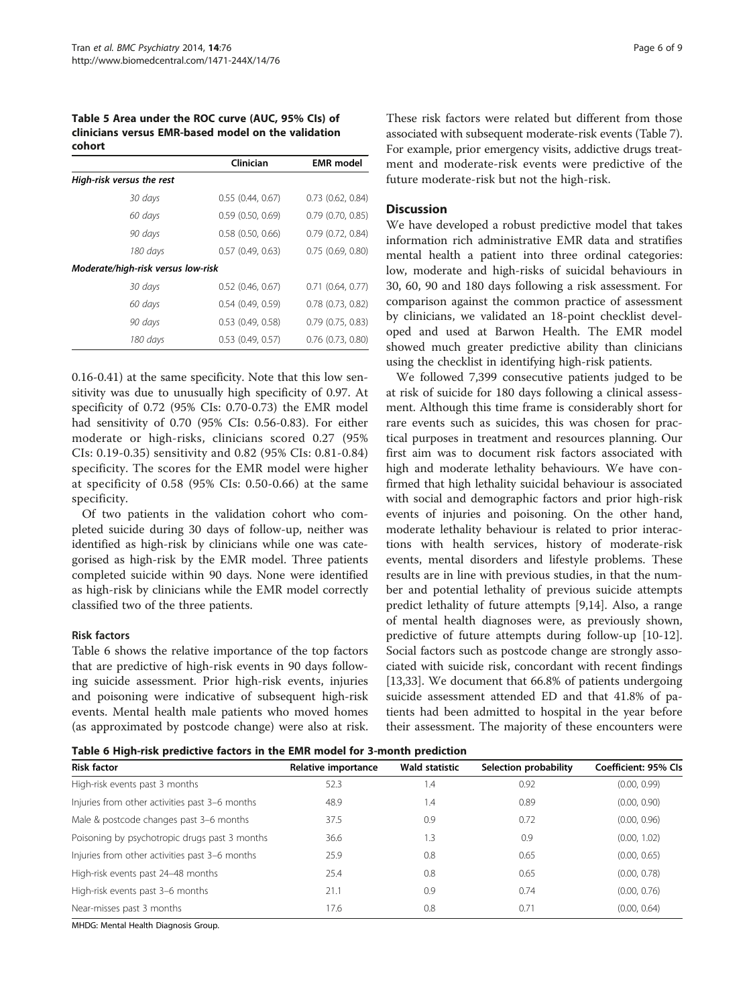<span id="page-5-0"></span>Table 5 Area under the ROC curve (AUC, 95% CIs) of clinicians versus EMR-based model on the validation cohort

|                                    | Clinician             | <b>EMR</b> model      |
|------------------------------------|-----------------------|-----------------------|
| High-risk versus the rest          |                       |                       |
| 30 days                            | 0.55(0.44, 0.67)      | $0.73$ $(0.62, 0.84)$ |
| 60 days                            | $0.59$ $(0.50, 0.69)$ | $0.79$ $(0.70, 0.85)$ |
| 90 days                            | $0.58$ $(0.50, 0.66)$ | 0.79(0.72, 0.84)      |
| 180 days                           | $0.57$ (0.49, 0.63)   | $0.75$ (0.69, 0.80)   |
| Moderate/high-risk versus low-risk |                       |                       |
| 30 days                            | $0.52$ (0.46, 0.67)   | $0.71$ $(0.64, 0.77)$ |
| 60 days                            | 0.54(0.49, 0.59)      | $0.78$ $(0.73, 0.82)$ |
| 90 days                            | $0.53$ $(0.49, 0.58)$ | $0.79$ $(0.75, 0.83)$ |
| 180 days                           | $0.53$ $(0.49, 0.57)$ | $0.76$ $(0.73, 0.80)$ |

0.16-0.41) at the same specificity. Note that this low sensitivity was due to unusually high specificity of 0.97. At specificity of 0.72 (95% CIs: 0.70-0.73) the EMR model had sensitivity of 0.70 (95% CIs: 0.56-0.83). For either moderate or high-risks, clinicians scored 0.27 (95% CIs: 0.19-0.35) sensitivity and 0.82 (95% CIs: 0.81-0.84) specificity. The scores for the EMR model were higher at specificity of 0.58 (95% CIs: 0.50-0.66) at the same specificity.

Of two patients in the validation cohort who completed suicide during 30 days of follow-up, neither was identified as high-risk by clinicians while one was categorised as high-risk by the EMR model. Three patients completed suicide within 90 days. None were identified as high-risk by clinicians while the EMR model correctly classified two of the three patients.

#### Risk factors

Table 6 shows the relative importance of the top factors that are predictive of high-risk events in 90 days following suicide assessment. Prior high-risk events, injuries and poisoning were indicative of subsequent high-risk events. Mental health male patients who moved homes (as approximated by postcode change) were also at risk.

These risk factors were related but different from those associated with subsequent moderate-risk events (Table [7](#page-6-0)). For example, prior emergency visits, addictive drugs treatment and moderate-risk events were predictive of the future moderate-risk but not the high-risk.

#### **Discussion**

We have developed a robust predictive model that takes information rich administrative EMR data and stratifies mental health a patient into three ordinal categories: low, moderate and high-risks of suicidal behaviours in 30, 60, 90 and 180 days following a risk assessment. For comparison against the common practice of assessment by clinicians, we validated an 18-point checklist developed and used at Barwon Health. The EMR model showed much greater predictive ability than clinicians using the checklist in identifying high-risk patients.

We followed 7,399 consecutive patients judged to be at risk of suicide for 180 days following a clinical assessment. Although this time frame is considerably short for rare events such as suicides, this was chosen for practical purposes in treatment and resources planning. Our first aim was to document risk factors associated with high and moderate lethality behaviours. We have confirmed that high lethality suicidal behaviour is associated with social and demographic factors and prior high-risk events of injuries and poisoning. On the other hand, moderate lethality behaviour is related to prior interactions with health services, history of moderate-risk events, mental disorders and lifestyle problems. These results are in line with previous studies, in that the number and potential lethality of previous suicide attempts predict lethality of future attempts [\[9,14\]](#page-7-0). Also, a range of mental health diagnoses were, as previously shown, predictive of future attempts during follow-up [\[10-12](#page-7-0)]. Social factors such as postcode change are strongly associated with suicide risk, concordant with recent findings [[13,](#page-7-0)[33\]](#page-8-0). We document that 66.8% of patients undergoing suicide assessment attended ED and that 41.8% of patients had been admitted to hospital in the year before their assessment. The majority of these encounters were

Table 6 High-risk predictive factors in the EMR model for 3-month prediction

| <b>Risk factor</b>                             | Relative importance | <b>Wald statistic</b> | Selection probability | Coefficient: 95% Cls |
|------------------------------------------------|---------------------|-----------------------|-----------------------|----------------------|
| High-risk events past 3 months                 | 52.3                | 1.4                   | 0.92                  | (0.00, 0.99)         |
| Injuries from other activities past 3-6 months | 48.9                | 1.4                   | 0.89                  | (0.00, 0.90)         |
| Male & postcode changes past 3-6 months        | 37.5                | 0.9                   | 0.72                  | (0.00, 0.96)         |
| Poisoning by psychotropic drugs past 3 months  | 36.6                | 1.3                   | 0.9                   | (0.00, 1.02)         |
| Injuries from other activities past 3-6 months | 25.9                | 0.8                   | 0.65                  | (0.00, 0.65)         |
| High-risk events past 24-48 months             | 25.4                | 0.8                   | 0.65                  | (0.00, 0.78)         |
| High-risk events past 3-6 months               | 21.1                | 0.9                   | 0.74                  | (0.00, 0.76)         |
| Near-misses past 3 months                      | 17.6                | 0.8                   | 0.71                  | (0.00, 0.64)         |

MHDG: Mental Health Diagnosis Group.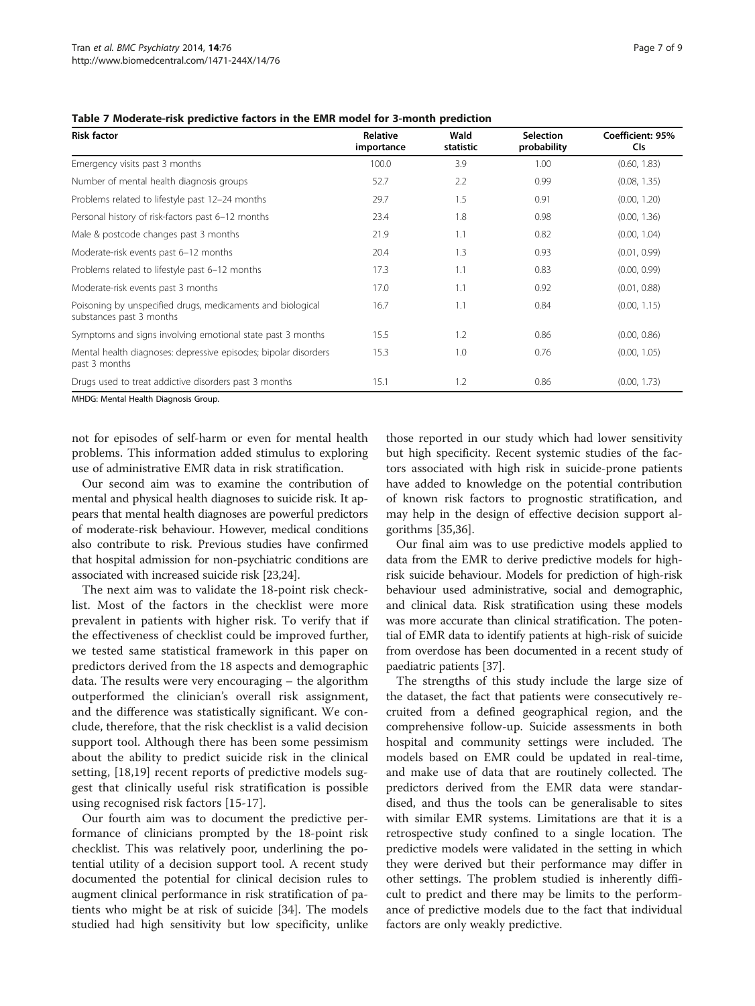| <b>Risk factor</b>                                                                     | Relative<br>importance | Wald<br>statistic | <b>Selection</b><br>probability | Coefficient: 95%<br><b>CIs</b> |
|----------------------------------------------------------------------------------------|------------------------|-------------------|---------------------------------|--------------------------------|
| Emergency visits past 3 months                                                         | 100.0                  | 3.9               | 1.00                            | (0.60, 1.83)                   |
| Number of mental health diagnosis groups                                               | 52.7                   | 2.2               | 0.99                            | (0.08, 1.35)                   |
| Problems related to lifestyle past 12-24 months                                        | 29.7                   | 1.5               | 0.91                            | (0.00, 1.20)                   |
| Personal history of risk-factors past 6-12 months                                      | 23.4                   | 1.8               | 0.98                            | (0.00, 1.36)                   |
| Male & postcode changes past 3 months                                                  | 21.9                   | 1.1               | 0.82                            | (0.00, 1.04)                   |
| Moderate-risk events past 6-12 months                                                  | 20.4                   | 1.3               | 0.93                            | (0.01, 0.99)                   |
| Problems related to lifestyle past 6-12 months                                         | 17.3                   | 1.1               | 0.83                            | (0.00, 0.99)                   |
| Moderate-risk events past 3 months                                                     | 17.0                   | 1.1               | 0.92                            | (0.01, 0.88)                   |
| Poisoning by unspecified drugs, medicaments and biological<br>substances past 3 months | 16.7                   | 1.1               | 0.84                            | (0.00, 1.15)                   |
| Symptoms and signs involving emotional state past 3 months                             | 15.5                   | 1.2               | 0.86                            | (0.00, 0.86)                   |
| Mental health diagnoses: depressive episodes; bipolar disorders<br>past 3 months       | 15.3                   | 1.0               | 0.76                            | (0.00, 1.05)                   |
| Drugs used to treat addictive disorders past 3 months                                  | 15.1                   | 1.2               | 0.86                            | (0.00, 1.73)                   |

<span id="page-6-0"></span>Table 7 Moderate-risk predictive factors in the EMR model for 3-month prediction

MHDG: Mental Health Diagnosis Group.

not for episodes of self-harm or even for mental health problems. This information added stimulus to exploring use of administrative EMR data in risk stratification.

Our second aim was to examine the contribution of mental and physical health diagnoses to suicide risk. It appears that mental health diagnoses are powerful predictors of moderate-risk behaviour. However, medical conditions also contribute to risk. Previous studies have confirmed that hospital admission for non-psychiatric conditions are associated with increased suicide risk [\[23,24\]](#page-7-0).

The next aim was to validate the 18-point risk checklist. Most of the factors in the checklist were more prevalent in patients with higher risk. To verify that if the effectiveness of checklist could be improved further, we tested same statistical framework in this paper on predictors derived from the 18 aspects and demographic data. The results were very encouraging – the algorithm outperformed the clinician's overall risk assignment, and the difference was statistically significant. We conclude, therefore, that the risk checklist is a valid decision support tool. Although there has been some pessimism about the ability to predict suicide risk in the clinical setting, [\[18](#page-7-0),[19\]](#page-7-0) recent reports of predictive models suggest that clinically useful risk stratification is possible using recognised risk factors [[15-17](#page-7-0)].

Our fourth aim was to document the predictive performance of clinicians prompted by the 18-point risk checklist. This was relatively poor, underlining the potential utility of a decision support tool. A recent study documented the potential for clinical decision rules to augment clinical performance in risk stratification of patients who might be at risk of suicide [\[34](#page-8-0)]. The models studied had high sensitivity but low specificity, unlike

those reported in our study which had lower sensitivity but high specificity. Recent systemic studies of the factors associated with high risk in suicide-prone patients have added to knowledge on the potential contribution of known risk factors to prognostic stratification, and may help in the design of effective decision support algorithms [\[35,36](#page-8-0)].

Our final aim was to use predictive models applied to data from the EMR to derive predictive models for highrisk suicide behaviour. Models for prediction of high-risk behaviour used administrative, social and demographic, and clinical data. Risk stratification using these models was more accurate than clinical stratification. The potential of EMR data to identify patients at high-risk of suicide from overdose has been documented in a recent study of paediatric patients [[37](#page-8-0)].

The strengths of this study include the large size of the dataset, the fact that patients were consecutively recruited from a defined geographical region, and the comprehensive follow-up. Suicide assessments in both hospital and community settings were included. The models based on EMR could be updated in real-time, and make use of data that are routinely collected. The predictors derived from the EMR data were standardised, and thus the tools can be generalisable to sites with similar EMR systems. Limitations are that it is a retrospective study confined to a single location. The predictive models were validated in the setting in which they were derived but their performance may differ in other settings. The problem studied is inherently difficult to predict and there may be limits to the performance of predictive models due to the fact that individual factors are only weakly predictive.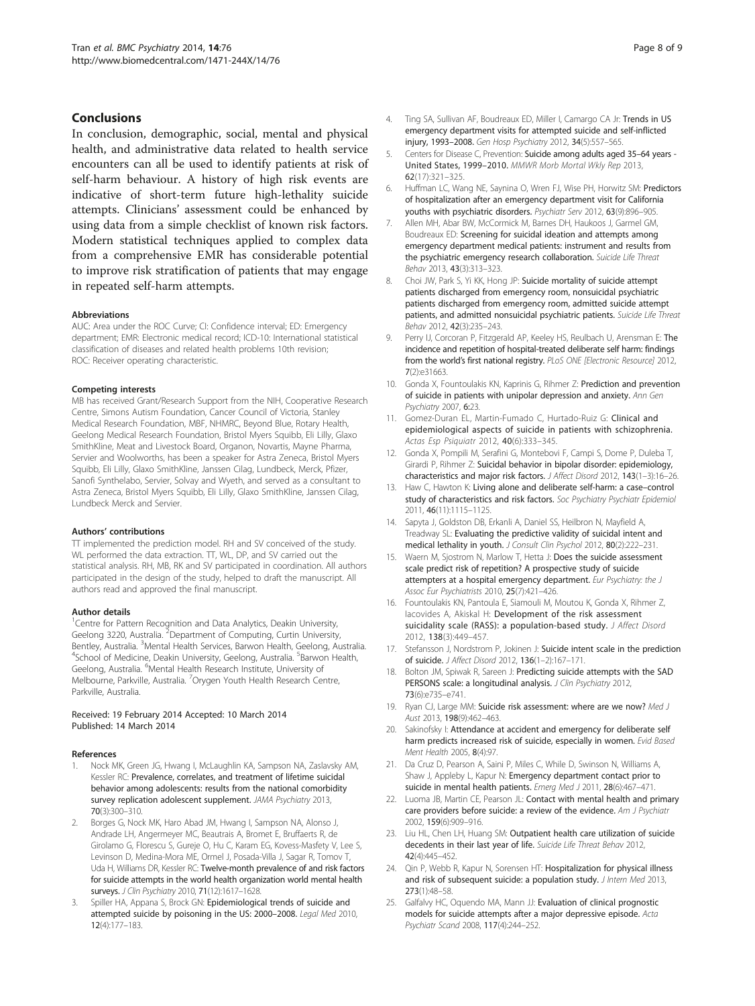#### <span id="page-7-0"></span>Conclusions

In conclusion, demographic, social, mental and physical health, and administrative data related to health service encounters can all be used to identify patients at risk of self-harm behaviour. A history of high risk events are indicative of short-term future high-lethality suicide attempts. Clinicians' assessment could be enhanced by using data from a simple checklist of known risk factors. Modern statistical techniques applied to complex data from a comprehensive EMR has considerable potential to improve risk stratification of patients that may engage in repeated self-harm attempts.

#### Abbreviations

AUC: Area under the ROC Curve; CI: Confidence interval; ED: Emergency department; EMR: Electronic medical record; ICD-10: International statistical classification of diseases and related health problems 10th revision; ROC: Receiver operating characteristic.

#### Competing interests

MB has received Grant/Research Support from the NIH, Cooperative Research Centre, Simons Autism Foundation, Cancer Council of Victoria, Stanley Medical Research Foundation, MBF, NHMRC, Beyond Blue, Rotary Health, Geelong Medical Research Foundation, Bristol Myers Squibb, Eli Lilly, Glaxo SmithKline, Meat and Livestock Board, Organon, Novartis, Mayne Pharma, Servier and Woolworths, has been a speaker for Astra Zeneca, Bristol Myers Squibb, Eli Lilly, Glaxo SmithKline, Janssen Cilag, Lundbeck, Merck, Pfizer, Sanofi Synthelabo, Servier, Solvay and Wyeth, and served as a consultant to Astra Zeneca, Bristol Myers Squibb, Eli Lilly, Glaxo SmithKline, Janssen Cilag, Lundbeck Merck and Servier.

#### Authors' contributions

TT implemented the prediction model. RH and SV conceived of the study. WL performed the data extraction. TT, WL, DP, and SV carried out the statistical analysis. RH, MB, RK and SV participated in coordination. All authors participated in the design of the study, helped to draft the manuscript. All authors read and approved the final manuscript.

#### Author details

<sup>1</sup> Centre for Pattern Recognition and Data Analytics, Deakin University, Geelong 3220, Australia. <sup>2</sup>Department of Computing, Curtin University, Bentley, Australia. <sup>3</sup>Mental Health Services, Barwon Health, Geelong, Australia.<br><sup>4</sup>School of Medicine. Deakin University, Geelong, Australia. <sup>5</sup>Banyon Health. School of Medicine, Deakin University, Geelong, Australia. <sup>5</sup>Barwon Health, Geelong, Australia. <sup>6</sup>Mental Health Research Institute, University of Melbourne, Parkville, Australia. <sup>7</sup>Orygen Youth Health Research Centre, Parkville, Australia.

#### Received: 19 February 2014 Accepted: 10 March 2014 Published: 14 March 2014

#### References

- 1. Nock MK, Green JG, Hwang I, McLaughlin KA, Sampson NA, Zaslavsky AM, Kessler RC: Prevalence, correlates, and treatment of lifetime suicidal behavior among adolescents: results from the national comorbidity survey replication adolescent supplement. JAMA Psychiatry 2013, 70(3):300–310.
- 2. Borges G, Nock MK, Haro Abad JM, Hwang I, Sampson NA, Alonso J, Andrade LH, Angermeyer MC, Beautrais A, Bromet E, Bruffaerts R, de Girolamo G, Florescu S, Gureje O, Hu C, Karam EG, Kovess-Masfety V, Lee S, Levinson D, Medina-Mora ME, Ormel J, Posada-Villa J, Sagar R, Tomov T, Uda H, Williams DR, Kessler RC: Twelve-month prevalence of and risk factors for suicide attempts in the world health organization world mental health surveys. J Clin Psychiatry 2010, 71(12):1617-1628.
- Spiller HA, Appana S, Brock GN: Epidemiological trends of suicide and attempted suicide by poisoning in the US: 2000–2008. Legal Med 2010, 12(4):177–183.
- 4. Ting SA, Sullivan AF, Boudreaux ED, Miller I, Camargo CA Jr: Trends in US emergency department visits for attempted suicide and self-inflicted injury, 1993–2008. Gen Hosp Psychiatry 2012, 34(5):557–565.
- 5. Centers for Disease C, Prevention: Suicide among adults aged 35–64 years United States, 1999–2010. MMWR Morb Mortal Wkly Rep 2013, 62(17):321–325.
- 6. Huffman LC, Wang NE, Saynina O, Wren FJ, Wise PH, Horwitz SM: Predictors of hospitalization after an emergency department visit for California youths with psychiatric disorders. Psychiatr Serv 2012, 63(9):896–905.
- 7. Allen MH, Abar BW, McCormick M, Barnes DH, Haukoos J, Garmel GM, Boudreaux ED: Screening for suicidal ideation and attempts among emergency department medical patients: instrument and results from the psychiatric emergency research collaboration. Suicide Life Threat Behav 2013, 43(3):313–323.
- 8. Choi JW, Park S, Yi KK, Hong JP: Suicide mortality of suicide attempt patients discharged from emergency room, nonsuicidal psychiatric patients discharged from emergency room, admitted suicide attempt patients, and admitted nonsuicidal psychiatric patients. Suicide Life Threat Behav 2012, 42(3):235–243.
- 9. Perry IJ, Corcoran P, Fitzgerald AP, Keeley HS, Reulbach U, Arensman E: The incidence and repetition of hospital-treated deliberate self harm: findings from the world's first national registry. PLoS ONE [Electronic Resource] 2012, 7(2):e31663.
- 10. Gonda X, Fountoulakis KN, Kaprinis G, Rihmer Z: Prediction and prevention of suicide in patients with unipolar depression and anxiety. Ann Gen Psychiatry 2007, 6:23.
- 11. Gomez-Duran EL, Martin-Fumado C, Hurtado-Ruiz G: Clinical and epidemiological aspects of suicide in patients with schizophrenia. Actas Esp Psiquiatr 2012, 40(6):333–345.
- 12. Gonda X, Pompili M, Serafini G, Montebovi F, Campi S, Dome P, Duleba T, Girardi P, Rihmer Z: Suicidal behavior in bipolar disorder: epidemiology, characteristics and major risk factors. J Affect Disord 2012, 143(1–3):16–26.
- 13. Haw C, Hawton K: Living alone and deliberate self-harm: a case-control study of characteristics and risk factors. Soc Psychiatry Psychiatr Epidemiol 2011, 46(11):1115–1125.
- 14. Sapyta J, Goldston DB, Erkanli A, Daniel SS, Heilbron N, Mayfield A, Treadway SL: Evaluating the predictive validity of suicidal intent and medical lethality in youth. J Consult Clin Psychol 2012, 80(2):222-231.
- 15. Waern M, Sjostrom N, Marlow T, Hetta J: Does the suicide assessment scale predict risk of repetition? A prospective study of suicide attempters at a hospital emergency department. Eur Psychiatry: the J Assoc Eur Psychiatrists 2010, 25(7):421–426.
- 16. Fountoulakis KN, Pantoula E, Siamouli M, Moutou K, Gonda X, Rihmer Z, Iacovides A, Akiskal H: Development of the risk assessment suicidality scale (RASS): a population-based study. J Affect Disord 2012, 138(3):449–457.
- 17. Stefansson J, Nordstrom P, Jokinen J: Suicide intent scale in the prediction of suicide. J Affect Disord 2012, 136(1–2):167–171.
- 18. Bolton JM, Spiwak R, Sareen J: Predicting suicide attempts with the SAD PERSONS scale: a longitudinal analysis. J Clin Psychiatry 2012, 73(6):e735–e741.
- 19. Ryan CJ, Large MM: Suicide risk assessment: where are we now? Med J Aust 2013, 198(9):462–463.
- 20. Sakinofsky I: Attendance at accident and emergency for deliberate self harm predicts increased risk of suicide, especially in women. Evid Based Ment Health 2005, 8(4):97.
- 21. Da Cruz D, Pearson A, Saini P, Miles C, While D, Swinson N, Williams A, Shaw J, Appleby L, Kapur N: Emergency department contact prior to suicide in mental health patients. Emerg Med J 2011, 28(6):467-471.
- 22. Luoma JB, Martin CE, Pearson JL: Contact with mental health and primary care providers before suicide: a review of the evidence. Am J Psychiatr 2002, 159(6):909–916.
- 23. Liu HL, Chen LH, Huang SM: Outpatient health care utilization of suicide decedents in their last year of life. Suicide Life Threat Behav 2012, 42(4):445–452.
- 24. Qin P, Webb R, Kapur N, Sorensen HT: Hospitalization for physical illness and risk of subsequent suicide: a population study. J Intern Med 2013, 273(1):48–58.
- 25. Galfalvy HC, Oquendo MA, Mann JJ: Evaluation of clinical prognostic models for suicide attempts after a major depressive episode. Acta Psychiatr Scand 2008, 117(4):244–252.